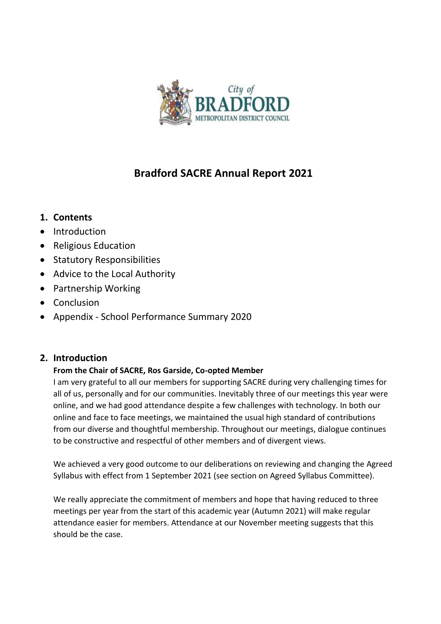

# **Bradford SACRE Annual Report 2021**

## **1. Contents**

- Introduction
- Religious Education
- Statutory Responsibilities
- Advice to the Local Authority
- Partnership Working
- Conclusion
- Appendix School Performance Summary 2020

## **2. Introduction**

#### **From the Chair of SACRE, Ros Garside, Co-opted Member**

I am very grateful to all our members for supporting SACRE during very challenging times for all of us, personally and for our communities. Inevitably three of our meetings this year were online, and we had good attendance despite a few challenges with technology. In both our online and face to face meetings, we maintained the usual high standard of contributions from our diverse and thoughtful membership. Throughout our meetings, dialogue continues to be constructive and respectful of other members and of divergent views.

We achieved a very good outcome to our deliberations on reviewing and changing the Agreed Syllabus with effect from 1 September 2021 (see section on Agreed Syllabus Committee).

We really appreciate the commitment of members and hope that having reduced to three meetings per year from the start of this academic year (Autumn 2021) will make regular attendance easier for members. Attendance at our November meeting suggests that this should be the case.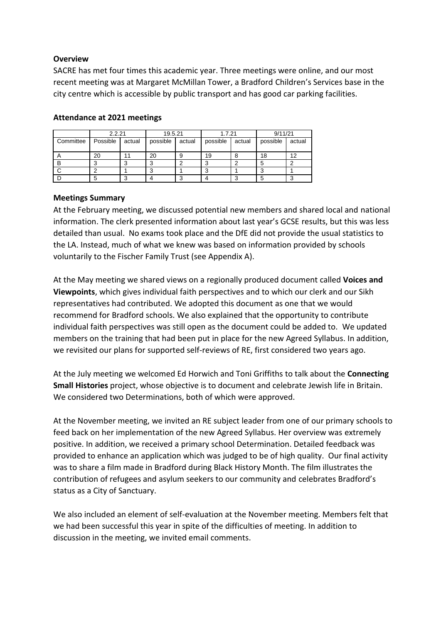#### **Overview**

SACRE has met four times this academic year. Three meetings were online, and our most recent meeting was at Margaret McMillan Tower, a Bradford Children's Services base in the city centre which is accessible by public transport and has good car parking facilities.

|           | 2.2.21   |        | 19.5.21    |        | 1.7.21   |        | 9/11/21  |        |
|-----------|----------|--------|------------|--------|----------|--------|----------|--------|
| Committee | Possible | actual | possible   | actual | possible | actual | possible | actual |
|           | 20       |        | 20         |        | 19       |        | 18       | 12     |
| B         | ◠<br>J   |        | $\sqrt{2}$ |        | ⌒        |        |          |        |
|           | ີ        |        | $\sqrt{2}$ |        | c        |        |          |        |
|           | 5        |        |            |        |          |        |          |        |

#### **Attendance at 2021 meetings**

#### **Meetings Summary**

At the February meeting, we discussed potential new members and shared local and national information. The clerk presented information about last year's GCSE results, but this was less detailed than usual. No exams took place and the DfE did not provide the usual statistics to the LA. Instead, much of what we knew was based on information provided by schools voluntarily to the Fischer Family Trust (see Appendix A).

At the May meeting we shared views on a regionally produced document called **Voices and Viewpoints**, which gives individual faith perspectives and to which our clerk and our Sikh representatives had contributed. We adopted this document as one that we would recommend for Bradford schools. We also explained that the opportunity to contribute individual faith perspectives was still open as the document could be added to. We updated members on the training that had been put in place for the new Agreed Syllabus. In addition, we revisited our plans for supported self-reviews of RE, first considered two years ago.

At the July meeting we welcomed Ed Horwich and Toni Griffiths to talk about the **Connecting Small Histories** project, whose objective is to document and celebrate Jewish life in Britain. We considered two Determinations, both of which were approved.

At the November meeting, we invited an RE subject leader from one of our primary schools to feed back on her implementation of the new Agreed Syllabus. Her overview was extremely positive. In addition, we received a primary school Determination. Detailed feedback was provided to enhance an application which was judged to be of high quality. Our final activity was to share a film made in Bradford during Black History Month. The film illustrates the contribution of refugees and asylum seekers to our community and celebrates Bradford's status as a City of Sanctuary.

We also included an element of self-evaluation at the November meeting. Members felt that we had been successful this year in spite of the difficulties of meeting. In addition to discussion in the meeting, we invited email comments.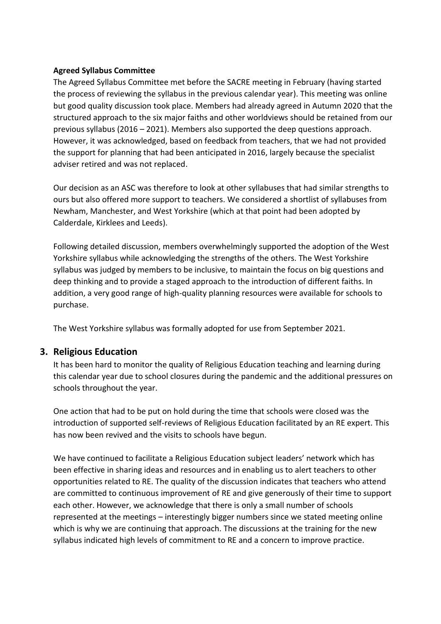#### **Agreed Syllabus Committee**

The Agreed Syllabus Committee met before the SACRE meeting in February (having started the process of reviewing the syllabus in the previous calendar year). This meeting was online but good quality discussion took place. Members had already agreed in Autumn 2020 that the structured approach to the six major faiths and other worldviews should be retained from our previous syllabus (2016 – 2021). Members also supported the deep questions approach. However, it was acknowledged, based on feedback from teachers, that we had not provided the support for planning that had been anticipated in 2016, largely because the specialist adviser retired and was not replaced.

Our decision as an ASC was therefore to look at other syllabuses that had similar strengths to ours but also offered more support to teachers. We considered a shortlist of syllabuses from Newham, Manchester, and West Yorkshire (which at that point had been adopted by Calderdale, Kirklees and Leeds).

Following detailed discussion, members overwhelmingly supported the adoption of the West Yorkshire syllabus while acknowledging the strengths of the others. The West Yorkshire syllabus was judged by members to be inclusive, to maintain the focus on big questions and deep thinking and to provide a staged approach to the introduction of different faiths. In addition, a very good range of high-quality planning resources were available for schools to purchase.

The West Yorkshire syllabus was formally adopted for use from September 2021.

#### **3. Religious Education**

It has been hard to monitor the quality of Religious Education teaching and learning during this calendar year due to school closures during the pandemic and the additional pressures on schools throughout the year.

One action that had to be put on hold during the time that schools were closed was the introduction of supported self-reviews of Religious Education facilitated by an RE expert. This has now been revived and the visits to schools have begun.

We have continued to facilitate a Religious Education subject leaders' network which has been effective in sharing ideas and resources and in enabling us to alert teachers to other opportunities related to RE. The quality of the discussion indicates that teachers who attend are committed to continuous improvement of RE and give generously of their time to support each other. However, we acknowledge that there is only a small number of schools represented at the meetings – interestingly bigger numbers since we stated meeting online which is why we are continuing that approach. The discussions at the training for the new syllabus indicated high levels of commitment to RE and a concern to improve practice.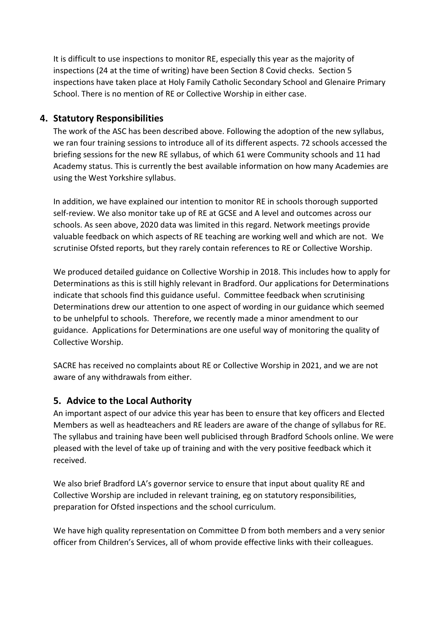It is difficult to use inspections to monitor RE, especially this year as the majority of inspections (24 at the time of writing) have been Section 8 Covid checks. Section 5 inspections have taken place at Holy Family Catholic Secondary School and Glenaire Primary School. There is no mention of RE or Collective Worship in either case.

#### **4. Statutory Responsibilities**

The work of the ASC has been described above. Following the adoption of the new syllabus, we ran four training sessions to introduce all of its different aspects. 72 schools accessed the briefing sessions for the new RE syllabus, of which 61 were Community schools and 11 had Academy status. This is currently the best available information on how many Academies are using the West Yorkshire syllabus.

In addition, we have explained our intention to monitor RE in schools thorough supported self-review. We also monitor take up of RE at GCSE and A level and outcomes across our schools. As seen above, 2020 data was limited in this regard. Network meetings provide valuable feedback on which aspects of RE teaching are working well and which are not. We scrutinise Ofsted reports, but they rarely contain references to RE or Collective Worship.

We produced detailed guidance on Collective Worship in 2018. This includes how to apply for Determinations as this is still highly relevant in Bradford. Our applications for Determinations indicate that schools find this guidance useful. Committee feedback when scrutinising Determinations drew our attention to one aspect of wording in our guidance which seemed to be unhelpful to schools. Therefore, we recently made a minor amendment to our guidance. Applications for Determinations are one useful way of monitoring the quality of Collective Worship.

SACRE has received no complaints about RE or Collective Worship in 2021, and we are not aware of any withdrawals from either.

## **5. Advice to the Local Authority**

An important aspect of our advice this year has been to ensure that key officers and Elected Members as well as headteachers and RE leaders are aware of the change of syllabus for RE. The syllabus and training have been well publicised through Bradford Schools online. We were pleased with the level of take up of training and with the very positive feedback which it received.

We also brief Bradford LA's governor service to ensure that input about quality RE and Collective Worship are included in relevant training, eg on statutory responsibilities, preparation for Ofsted inspections and the school curriculum.

We have high quality representation on Committee D from both members and a very senior officer from Children's Services, all of whom provide effective links with their colleagues.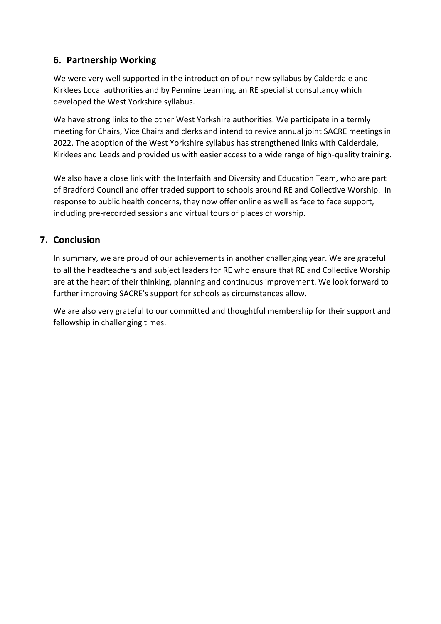## **6. Partnership Working**

We were very well supported in the introduction of our new syllabus by Calderdale and Kirklees Local authorities and by Pennine Learning, an RE specialist consultancy which developed the West Yorkshire syllabus.

We have strong links to the other West Yorkshire authorities. We participate in a termly meeting for Chairs, Vice Chairs and clerks and intend to revive annual joint SACRE meetings in 2022. The adoption of the West Yorkshire syllabus has strengthened links with Calderdale, Kirklees and Leeds and provided us with easier access to a wide range of high-quality training.

We also have a close link with the Interfaith and Diversity and Education Team, who are part of Bradford Council and offer traded support to schools around RE and Collective Worship. In response to public health concerns, they now offer online as well as face to face support, including pre-recorded sessions and virtual tours of places of worship.

### **7. Conclusion**

In summary, we are proud of our achievements in another challenging year. We are grateful to all the headteachers and subject leaders for RE who ensure that RE and Collective Worship are at the heart of their thinking, planning and continuous improvement. We look forward to further improving SACRE's support for schools as circumstances allow.

We are also very grateful to our committed and thoughtful membership for their support and fellowship in challenging times.